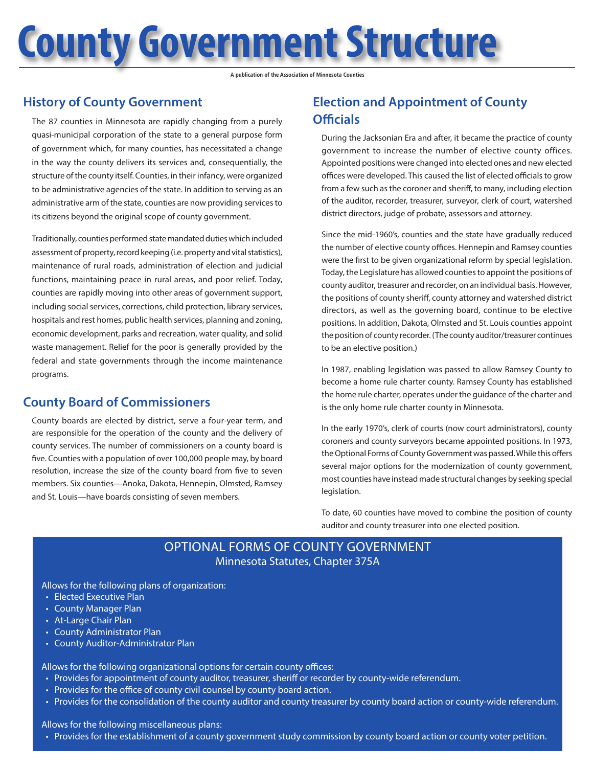**County Government Structure**

**A publication of the Association of Minnesota Counties**

## **History of County Government**

The 87 counties in Minnesota are rapidly changing from a purely quasi-municipal corporation of the state to a general purpose form of government which, for many counties, has necessitated a change in the way the county delivers its services and, consequentially, the structure of the county itself. Counties, in their infancy, were organized to be administrative agencies of the state. In addition to serving as an administrative arm of the state, counties are now providing services to its citizens beyond the original scope of county government.

Traditionally, counties performed state mandated duties which included assessment of property, record keeping (i.e. property and vital statistics), maintenance of rural roads, administration of election and judicial functions, maintaining peace in rural areas, and poor relief. Today, counties are rapidly moving into other areas of government support, including social services, corrections, child protection, library services, hospitals and rest homes, public health services, planning and zoning, economic development, parks and recreation, water quality, and solid waste management. Relief for the poor is generally provided by the federal and state governments through the income maintenance programs.

## **County Board of Commissioners**

County boards are elected by district, serve a four-year term, and are responsible for the operation of the county and the delivery of county services. The number of commissioners on a county board is five. Counties with a population of over 100,000 people may, by board resolution, increase the size of the county board from five to seven members. Six counties—Anoka, Dakota, Hennepin, Olmsted, Ramsey and St. Louis—have boards consisting of seven members.

# **Election and Appointment of County Officials**

During the Jacksonian Era and after, it became the practice of county government to increase the number of elective county offices. Appointed positions were changed into elected ones and new elected offices were developed. This caused the list of elected officials to grow from a few such as the coroner and sheriff, to many, including election of the auditor, recorder, treasurer, surveyor, clerk of court, watershed district directors, judge of probate, assessors and attorney.

Since the mid-1960's, counties and the state have gradually reduced the number of elective county offices. Hennepin and Ramsey counties were the first to be given organizational reform by special legislation. Today, the Legislature has allowed counties to appoint the positions of county auditor, treasurer and recorder, on an individual basis. However, the positions of county sheriff, county attorney and watershed district directors, as well as the governing board, continue to be elective positions. In addition, Dakota, Olmsted and St. Louis counties appoint the position of county recorder. (The county auditor/treasurer continues to be an elective position.)

In 1987, enabling legislation was passed to allow Ramsey County to become a home rule charter county. Ramsey County has established the home rule charter, operates under the guidance of the charter and is the only home rule charter county in Minnesota.

In the early 1970's, clerk of courts (now court administrators), county coroners and county surveyors became appointed positions. In 1973, the Optional Forms of County Government was passed. While this offers several major options for the modernization of county government, most counties have instead made structural changes by seeking special legislation.

To date, 60 counties have moved to combine the position of county auditor and county treasurer into one elected position.

### OPTIONAL FORMS OF COUNTY GOVERNMENT Minnesota Statutes, Chapter 375A

Allows for the following plans of organization:

- Elected Executive Plan
- County Manager Plan
- At-Large Chair Plan
- County Administrator Plan
- County Auditor-Administrator Plan

Allows for the following organizational options for certain county offices:

- Provides for appointment of county auditor, treasurer, sheriff or recorder by county-wide referendum.
- Provides for the office of county civil counsel by county board action.
- Provides for the consolidation of the county auditor and county treasurer by county board action or county-wide referendum.

Allows for the following miscellaneous plans:

• Provides for the establishment of a county government study commission by county board action or county voter petition.